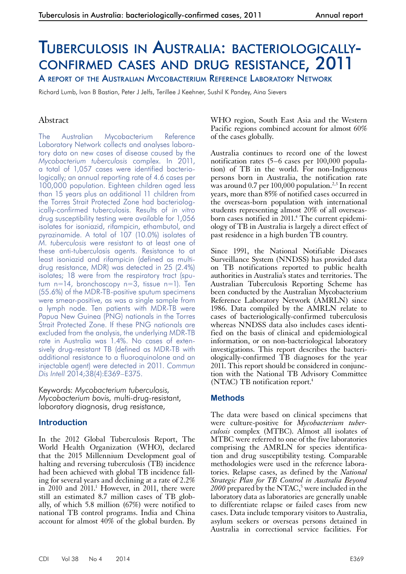# Tuberculosis in Australia: bacteriologically confirmed cases and drug resistance, 2011

A report of the Australian Mycobacterium Reference Laboratory Network

Richard Lumb, Ivan B Bastian, Peter J Jelfs, Terillee J Keehner, Sushil K Pandey, Aina Sievers

# Abstract

The Australian Mycobacterium Reference Laboratory Network collects and analyses laboratory data on new cases of disease caused by the *Mycobacterium tuberculosis* complex. In 2011, a total of 1,057 cases were identified bacteriologically; an annual reporting rate of 4.6 cases per 100,000 population. Eighteen children aged less than 15 years plus an additional 11 children from the Torres Strait Protected Zone had bacteriologically-confirmed tuberculosis. Results of *in vitro*  drug susceptibility testing were available for 1,056 isolates for isoniazid, rifampicin, ethambutol, and pyrazinamide. A total of 107 (10.0%) isolates of *M. tuberculosis* were resistant to at least one of these anti-tuberculosis agents. Resistance to at least isoniazid and rifampicin (defined as multidrug resistance, MDR) was detected in 25 (2.4%) isolates; 18 were from the respiratory tract (sputum n=14, bronchoscopy n=3, tissue n=1). Ten (55.6%) of the MDR-TB-positive sputum specimens were smear-positive, as was a single sample from a lymph node. Ten patients with MDR-TB were Papua New Guinea (PNG) nationals in the Torres Strait Protected Zone. If these PNG nationals are excluded from the analysis, the underlying MDR-TB rate in Australia was 1.4%. No cases of extensively drug-resistant TB (defined as MDR-TB with additional resistance to a fluoroquinolone and an injectable agent) were detected in 2011. *Commun Dis Intell* 2014;38(4):E369–E375.

Keywords: *Mycobacterium tuberculosis, Mycobacterium bovis,* multi-drug-resistant, laboratory diagnosis, drug resistance,

## **Introduction**

In the 2012 Global Tuberculosis Report, The World Health Organization (WHO), declared that the 2015 Millennium Development goal of halting and reversing tuberculosis (TB) incidence had been achieved with global TB incidence fall- ing for several years and declining at a rate of 2.2% in  $2010$  and  $2011$ .<sup>1</sup> However, in  $2011$ , there were still an estimated 8.7 million cases of TB globally, of which 5.8 million (67%) were notified to national TB control programs. India and China account for almost  $40\%$  of the global burden. By

WHO region, South East Asia and the Western Pacific regions combined account for almost 60% of the cases globally.

Australia continues to record one of the lowest notification rates (5–6 cases per 100,000 population) of TB in the world. For non-Indigenous persons born in Australia, the notification rate was around  $0.7$  per 100,000 population.<sup>2,3</sup> In recent years, more than 85% of notified cases occurred in the overseas-born population with international students representing almost 20% of all overseasborn cases notified in 2011.<sup>4</sup> The current epidemiology of TB in Australia is largely a direct effect of past residence in a high burden TB country.

Since 1991, the National Notifiable Diseases Surveillance System (NNDSS) has provided data on TB notifications reported to public health authorities in Australia's states and territories. The Australian Tuberculosis Reporting Scheme has been conducted by the Australian Mycobacterium Reference Laboratory Network (AMRLN) since 1986. Data compiled by the AMRLN relate to cases of bacteriologically-confirmed tuberculosis whereas NNDSS data also includes cases identified on the basis of clinical and epidemiological information, or on non-bacteriological laboratory investigations. This report describes the bacteriologically-confirmed TB diagnoses for the year 2011. This report should be considered in conjunction with the National TB Advisory Committee (NTAC) TB notification report.4

## **Methods**

The data were based on clinical specimens that were culture-positive for *Mycobacterium tuberculosis* complex (MTBC). Almost all isolates of MTBC were referred to one of the five laboratories comprising the AMRLN for species identification and drug susceptibility testing. Comparable methodologies were used in the reference labora- tories. Relapse cases, as defined by the *National Strategic Plan for TB Control in Australia Beyond*  2000 prepared by the NTAC,<sup>5</sup> were included in the laboratory data as laboratories are generally unable to differentiate relapse or failed cases from new cases. Data include temporary visitors to Australia, asylum seekers or overseas persons detained in Australia in correctional service facilities. For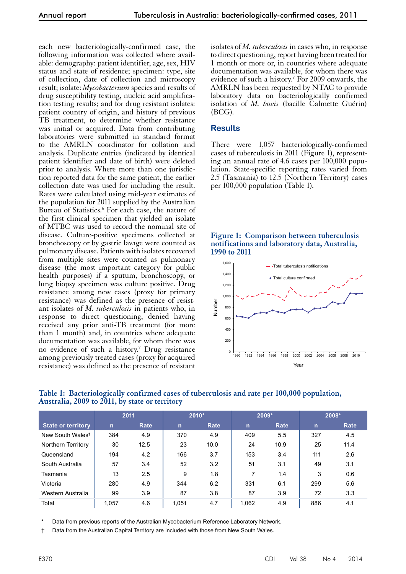each new bacteriologically-confirmed case, the following information was collected where available: demography: patient identifier, age, sex, HIV status and state of residence; specimen: type, site of collection, date of collection and microscopy result; isolate: *Mycobacterium* species and results of drug susceptibility testing, nucleic acid amplification testing results; and for drug resistant isolates: patient country of origin, and history of previous TB treatment, to determine whether resistance was initial or acquired. Data from contributing laboratories were submitted in standard format to the AMRLN coordinator for collation and analysis. Duplicate entries (indicated by identical patient identifier and date of birth) were deleted prior to analysis. Where more than one jurisdiction reported data for the same patient, the earlier collection date was used for including the result. Rates were calculated using mid-year estimates of the population for 2011 supplied by the Australian Bureau of Statistics.<sup>6</sup> For each case, the nature of the first clinical specimen that yielded an isolate of MTBC was used to record the nominal site of disease. Culture-positive specimens collected at bronchoscopy or by gastric lavage were counted as pulmonary disease. Patients with isolates recovered from multiple sites were counted as pulmonary disease (the most important category for public health purposes) if a sputum, bronchoscopy, or lung biopsy specimen was culture positive. Drug resistance among new cases (proxy for primary resistance) was defined as the presence of resistant isolates of *M. tuberculosis* in patients who, in response to direct questioning, denied having received any prior anti-TB treatment (for more than 1 month) and, in countries where adequate documentation was available, for whom there was no evidence of such a history.<sup>7</sup> Drug resistance among previously treated cases (proxy for acquired resistance) was defined as the presence of resistant

isolates of *M. tuberculosis* in cases who, in response to direct questioning, report having been treated for 1 month or more or, in countries where adequate documentation was available, for whom there was evidence of such a history.<sup>7</sup> For 2009 onwards, the AMRLN has been requested by NTAC to provide laboratory data on bacteriologically confirmed isolation of *M. bovis* (bacille Calmette Guérin) (BCG).

## **Results**

There were 1,057 bacteriologically-confirmed cases of tuberculosis in 2011 (Figure 1), representing an annual rate of 4.6 cases per  $100,000$  population. State-specific reporting rates varied from 2.5 (Tasmania) to 12.5 (Northern Territory) cases per 100,000 population (Table 1).

#### **Figure 1: Comparison between tuberculosis notifications and laboratory data, Australia, 1990 to 2011**



|                              |              | 2011 | $2010*$      |      | 2009* |      |              | 2008* |
|------------------------------|--------------|------|--------------|------|-------|------|--------------|-------|
| <b>State or territory</b>    | $\mathsf{n}$ | Rate | $\mathsf{n}$ | Rate | n     | Rate | $\mathsf{n}$ | Rate  |
| New South Wales <sup>t</sup> | 384          | 4.9  | 370          | 4.9  | 409   | 5.5  | 327          | 4.5   |
| Northern Territory           | 30           | 12.5 | 23           | 10.0 | 24    | 10.9 | 25           | 11.4  |
| Queensland                   | 194          | 4.2  | 166          | 3.7  | 153   | 3.4  | 111          | 2.6   |
| South Australia              | 57           | 3.4  | 52           | 3.2  | 51    | 3.1  | 49           | 3.1   |
| Tasmania                     | 13           | 2.5  | 9            | 1.8  |       | 1.4  | 3            | 0.6   |
| Victoria                     | 280          | 4.9  | 344          | 6.2  | 331   | 6.1  | 299          | 5.6   |
| Western Australia            | 99           | 3.9  | 87           | 3.8  | 87    | 3.9  | 72           | 3.3   |
| Total                        | 1.057        | 4.6  | 1.051        | 4.7  | 1.062 | 4.9  | 886          | 4.1   |

#### **Table 1: Bacteriologically confirmed cases of tuberculosis and rate per 100,000 population, Australia, 2009 to 2011, by state or territory**

Data from previous reports of the Australian Mycobacterium Reference Laboratory Network.

† Data from the Australian Capital Territory are included with those from New South Wales.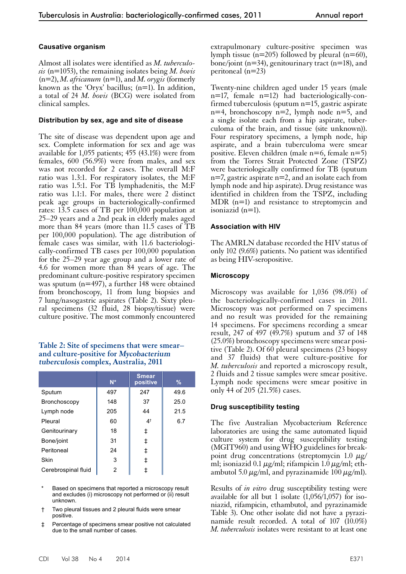#### **Causative organism**

Almost all isolates were identified as *M. tuberculosis* (n=1053), the remaining isolates being *M. bovis*  (n=2), *M. africanum* (n=1), and *M. orygis* (formerly known as the 'Oryx' bacillus;  $(n=1)$ . In addition, a total of 24 *M. bovis* (BCG) were isolated from clinical samples.

#### **Distribution by sex, age and site of disease**

The site of disease was dependent upon age and sex. Complete information for sex and age was available for 1,055 patients; 455 (43.1%) were from females, 600 (56.9%) were from males, and sex was not recorded for 2 cases. The overall M:F ratio was 1.3:1. For respiratory isolates, the M:F ratio was 1.5:1. For TB lymphadenitis, the M:F ratio was 1.1:1. For males, there were 2 distinct peak age groups in bacteriologically-confirmed rates: 13.5 cases of TB per 100,000 population at 25–29 years and a 2nd peak in elderly males aged more than 84 years (more than 11.5 cases of TB per 100,000 population). The age distribution of female cases was similar, with 11.6 bacteriologically-confirmed TB cases per 100,000 population for the 25–29 year age group and a lower rate of 4.6 for women more than 84 years of age. The predominant culture-positive respiratory specimen was sputum (n=497), a further 148 were obtained from bronchoscopy, 11 from lung biopsies and 7 lung/nasogastric aspirates (Table 2). Sixty pleural specimens (32 fluid, 28 biopsy/tissue) were culture positive. The most commonly encountered

#### **Table 2: Site of specimens that were smear– and culture-positive for Mycobacterium tuberculosis complex, Australia, 2011**

|                     | $N^*$ | <b>Smear</b><br>positive | $\%$ |
|---------------------|-------|--------------------------|------|
| Sputum              | 497   | 247                      | 49.6 |
| Bronchoscopy        | 148   | 37                       | 25.0 |
| Lymph node          | 205   | 44                       | 21.5 |
| Pleural             | 60    | 4 <sup>†</sup>           | 6.7  |
| Genitourinary       | 18    | ŧ                        |      |
| Bone/joint          | 31    | ŧ                        |      |
| Peritoneal          | 24    | ŧ                        |      |
| Skin                | 3     | ‡                        |      |
| Cerebrospinal fluid | 2     |                          |      |

- Based on specimens that reported a microscopy result and excludes (i) microscopy not performed or (ii) result unknown.
- † Two pleural tissues and 2 pleural fluids were smear positive.
- ‡ Percentage of specimens smear positive not calculated due to the small number of cases.

extrapulmonary culture-positive specimen was lymph tissue ( $n=205$ ) followed by pleural ( $n=60$ ), bone/joint (n=34), genitourinary tract (n=18), and peritoneal (n=23)

Twenty-nine children aged under 15 years (male n=17, female n=12) had bacteriologically-confirmed tuberculosis (sputum n=15, gastric aspirate  $n=4$ , bronchoscopy  $n=2$ , lymph node  $n=5$ , and a single isolate each from a hip aspirate, tuberculoma of the brain, and tissue (site unknown)). Four respiratory specimens, a lymph node, hip aspirate, and a brain tuberculoma were smear positive. Eleven children (male  $n=6$ , female  $n=5$ ) from the Torres Strait Protected Zone (TSPZ) were bacteriologically confirmed for TB (sputum  $n=7$ , gastric aspirate  $n=2$ , and an isolate each from lymph node and hip aspirate). Drug resistance was identified in children from the TSPZ, including MDR (n=1) and resistance to streptomycin and isoniazid (n=1).

#### **Association with HIV**

The AMRLN database recorded the HIV status of only 102 (9.6%) patients. No patient was identified as being HIV-seropositive.

#### **Microscopy**

Microscopy was available for 1,036 (98.0%) of the bacteriologically-confirmed cases in 2011. Microscopy was not performed on 7 specimens and no result was provided for the remaining 14 specimens. For specimens recording a smear result, 247 of 497 (49.7%) sputum and 37 of 148 (25.0%) bronchoscopy specimens were smear posi- tive (Table 2). Of 60 pleural specimens (23 biopsy and 37 fluids) that were culture-positive for *M. tuberculosis* and reported a microscopy result, 2 fluids and 2 tissue samples were smear positive. Lymph node specimens were smear positive in only 44 of 205 (21.5%) cases.

#### **Drug susceptibility testing**

The five Australian Mycobacterium Reference laboratories are using the same automated liquid culture system for drug susceptibility testing (MGIT960) and using WHO guidelines for breakpoint drug concentrations (streptomycin 1.0  $\mu$ g/ ml; isoniazid 0.1  $\mu$ g/ml; rifampicin 1.0  $\mu$ g/ml; eth-<br>ambutol 5.0  $\mu$ g/ml, and pyrazinamide 100  $\mu$ g/ml).

Results of *in vitro* drug susceptibility testing were available for all but 1 isolate  $(1,056/1,057)$  for isoniazid, rifampicin, ethambutol, and pyrazinamide Table 3). One other isolate did not have a pyrazinamide result recorded. A total of 107 (10.0%) *M. tuberculosis* isolates were resistant to at least one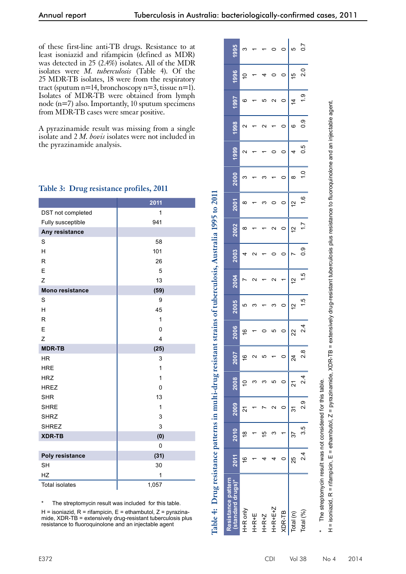of these first-line anti-TB drugs. Resistance to at least isoniazid and rifampicin (defined as MDR) was detected in 25 (2.4%) isolates. All of the MDR isolates were *M. tuberculosis* (Table 4). Of the 25 MDR-TB isolates, 18 were from the respiratory tract (sputum  $n=14$ , bronchoscopy  $n=3$ , tissue  $n=1$ ). Isolates of MDR-TB were obtained from lymph node (n=7) also. Importantly, 10 sputum specimens from MDR-TB cases were smear positive.

A pyrazinamide result was missing from a single isolate and 2 *M. bovis* isolates were not included in the pyrazinamide analysis.

|                        | 2011  |
|------------------------|-------|
| DST not completed      | 1     |
| Fully susceptible      | 941   |
| Any resistance         |       |
| S                      | 58    |
| Η                      | 101   |
| $\mathsf{R}$           | 26    |
| E                      | 5     |
| Z                      | 13    |
| <b>Mono resistance</b> | (59)  |
| S                      | 9     |
| H                      | 45    |
| $\mathsf{R}$           | 1     |
| E                      | 0     |
| Z                      | 4     |
| <b>MDR-TB</b>          | (25)  |
| <b>HR</b>              | 3     |
| <b>HRE</b>             | 1     |
| <b>HRZ</b>             | 1     |
| <b>HREZ</b>            | 0     |
| <b>SHR</b>             | 13    |
| <b>SHRE</b>            | 1     |
| <b>SHRZ</b>            | 3     |
| <b>SHREZ</b>           | 3     |
| <b>XDR-TB</b>          | (0)   |
|                        | 0     |
| Poly resistance        | (31)  |
| <b>SH</b>              | 30    |
| HZ                     | 1     |
| <b>Total isolates</b>  | 1,057 |

## **Table 3: Drug resistance profiles, 2011**

The streptomycin result was included for this table.

 $H =$  isoniazid,  $R =$  rifampicin,  $E =$  ethambutol,  $Z =$  pyrazinamide, XDR-TB = extensively drug-resistant tuberculosis plus resistance to fluoroquinolone and an injectable agent

| Resistance pattern<br>standard drugs)*                                                                                                                                                                                        | 2011          | 2010 | 2009     | 2008 | <b>Z007</b>     | 2006          | 2005          | 2004        | 2003 | 2002        | 2001          | 2000     | 1999            | 1998 | 1997                          | 1996    | 1995             |
|-------------------------------------------------------------------------------------------------------------------------------------------------------------------------------------------------------------------------------|---------------|------|----------|------|-----------------|---------------|---------------|-------------|------|-------------|---------------|----------|-----------------|------|-------------------------------|---------|------------------|
| H+R only                                                                                                                                                                                                                      | $\frac{6}{5}$ | ₽    | 21       | S    | $\frac{6}{5}$   | $\frac{6}{5}$ | ഥ             |             |      | ∞           | ∞             | ო        | $\mathbf{\sim}$ | N    | ဖ                             | S       | ო                |
| $H+R+E$                                                                                                                                                                                                                       |               |      |          | ო    | c<br>ч          |               |               | c           |      |             |               |          |                 |      |                               |         |                  |
| $H+R+Z$                                                                                                                                                                                                                       |               | ≌    |          |      | LO              |               |               |             |      |             | ო             |          |                 |      |                               |         |                  |
| 1+R+E+Z                                                                                                                                                                                                                       |               |      | ↘        | ю    |                 | ഥ             | ო             | N           |      | Ν           |               |          |                 |      | $\scriptstyle\mathtt{N}$      |         |                  |
| XDR-TB                                                                                                                                                                                                                        |               |      |          |      |                 | $\circ$       | $\circ$       |             |      | $\circ$     | $\circ$       | 0        |                 | 0    | ¢<br>$\overline{\phantom{a}}$ | $\circ$ | $\circ$          |
| [otal (n)                                                                                                                                                                                                                     | 25            | 37   | 31       | ភ    | $\overline{24}$ | 22            | $\tilde{c}$   | $\tilde{a}$ |      | $\tilde{c}$ | $\frac{1}{2}$ | $\infty$ |                 | ဖ    | $\dot{4}$                     | 10      | ما ∥             |
| Total (%)                                                                                                                                                                                                                     | 24            | 3.5  | 0.<br>2. | 2.4  | $\frac{8}{2}$   | $\frac{4}{2}$ | $\frac{5}{1}$ | 1.5         | ၀့   | 17          | $\frac{6}{1}$ | ٥.       | 5 O             | ္ပီ  | $\frac{6}{1}$                 | 2.0     | $\overline{0.7}$ |
| The second continuous continuous continuous continuous continuous continuous continuous continuous continuous continuous continuous continuous continuous continuous continuous continuous continuous continuous continuous c |               |      |          |      |                 |               |               |             |      |             |               |          |                 |      |                               |         |                  |

**Table 4: Drug resistance patterns in multi-drug resistant strains of tuberculosis, Australia 1995 to 2011**

Table 4: Drug resistance patterns in multi-drug resistant strains of tuberculosis, Australia 1995 to 2011

The streptomycin result was not considered for this table. The streptomycin result was not considered for this table.

isoniazid, R = rifampicin, E = ethambutol, Z = pyrazinamide, XDR-TB = extensively drug-resistant tuberculosis plus resistance to fluoroquinolone and an injectable agent H = isoniazid, R = rifampicin, E = ethambutol, Z = pyrazinamide, XDR-TB = extensively drug-resistant tuberculosis plus resistance to fluoroquinolone and an injectable agent.  $\frac{1}{1}$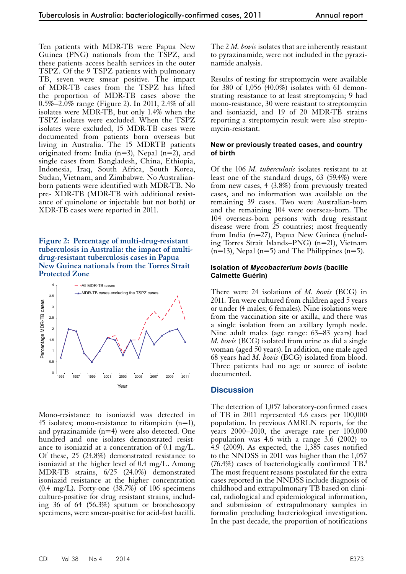Ten patients with MDR-TB were Papua New Guinea (PNG) nationals from the TSPZ, and these patients access health services in the outer TSPZ. Of the 9 TSPZ patients with pulmonary TB, seven were smear positive. The impact of MDR-TB cases from the TSPZ has lifted the proportion of MDR-TB cases above the 0.5%–2.0% range (Figure 2). In 2011, 2.4% of all isolates were MDR-TB, but only 1.4% when the TSPZ isolates were excluded. When the TSPZ isolates were excluded, 15 MDR-TB cases were documented from patients born overseas but living in Australia. The 15 MDRTB patients originated from: India (n=3), Nepal (n=2), and single cases from Bangladesh, China, Ethiopia, Indonesia, Iraq, South Africa, South Korea, Sudan, Vietnam, and Zimbabwe. No Australianborn patients were identified with MDR-TB. No pre- XDR-TB (MDR-TB with additional resistance of quinolone or injectable but not both) or XDR-TB cases were reported in 2011.

#### **Figure 2: Percentage of multi-drug-resistant tuberculosis in Australia: the impact of multidrug-resistant tuberculosis cases in Papua New Guinea nationals from the Torres Strait Protected Zone**



Mono-resistance to isoniazid was detected in 45 isolates; mono-resistance to rifampicin (n=1), and pyrazinamide (n=4) were also detected. One hundred and one isolates demonstrated resistance to isoniazid at a concentration of 0.1 mg/L. Of these, 25 (24.8%) demonstrated resistance to isoniazid at the higher level of 0.4 mg/L. Among MDR-TB strains, 6/25 (24.0%) demonstrated isoniazid resistance at the higher concentration  $(0.4 \text{ mg/L})$ . Forty-one  $(38.7\%)$  of 106 specimens culture-positive for drug resistant strains, including 36 of 64 (56.3%) sputum or bronchoscopy specimens, were smear-positive for acid-fast bacilli.

The 2 *M. bovis* isolates that are inherently resistant to pyrazinamide, were not included in the pyrazinamide analysis.

Results of testing for streptomycin were available for 380 of 1,056 (40.0%) isolates with 61 demonstrating resistance to at least streptomycin; 9 had mono-resistance, 30 were resistant to streptomycin and isoniazid, and 19 of 20 MDR-TB strains reporting a streptomycin result were also streptomycin-resistant.

#### **New or previously treated cases, and country of birth**

Of the 106 *M. tuberculosis* isolates resistant to at least one of the standard drugs, 63 (59.4%) were from new cases, 4 (3.8%) from previously treated cases, and no information was available on the remaining 39 cases. Two were Australian-born and the remaining 104 were overseas-born. The 104 overseas-born persons with drug resistant disease were from 25 countries; most frequently from India (n=27), Papua New Guinea (including Torres Strait Islands–PNG) (n=21), Vietnam  $(n=13)$ , Nepal  $(n=5)$  and The Philippines  $(n=5)$ .

### **Isolation of** *Mycobacterium bovis* **(bacille Calmette Guérin)**

There were 24 isolations of *M. bovis* (BCG) in 2011. Ten were cultured from children aged 5 years or under (4 males; 6 females). Nine isolations were from the vaccination site or axilla, and there was a single isolation from an axillary lymph node. Nine adult males (age range: 63–83 years) had *M. bovis* (BCG) isolated from urine as did a single woman (aged 50 years). In addition, one male aged 68 years had *M. bovis* (BCG) isolated from blood. Three patients had no age or source of isolate documented.

# **Discussion**

The detection of 1,057 laboratory-confirmed cases of TB in 2011 represented 4.6 cases per 100,000 population. In previous AMRLN reports, for the years 2000–2010, the average rate per 100,000 population was  $4.6$  with a range  $3.6$  (2002) to 4.9 (2009). As expected, the 1,385 cases notified to the NNDSS in 2011 was higher than the 1,057 (76.4%) cases of bacteriologically confirmed TB.4 The most frequent reasons postulated for the extra cases reported in the NNDSS include diagnosis of childhood and extrapulmonary TB based on clinical, radiological and epidemiological information, and submission of extrapulmonary samples in formalin precluding bacteriological investigation. In the past decade, the proportion of notifications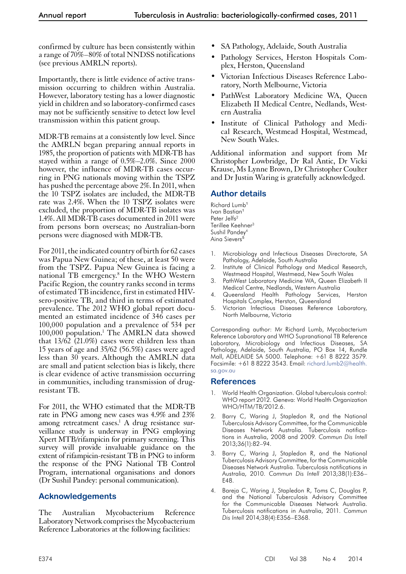confirmed by culture has been consistently within a range of 70%–80% of total NNDSS notifications (see previous AMRLN reports).

Importantly, there is little evidence of active transmission occurring to children within Australia. However, laboratory testing has a lower diagnostic yield in children and so laboratory-confirmed cases may not be sufficiently sensitive to detect low level transmission within this patient group.

MDR-TB remains at a consistently low level. Since the AMRLN began preparing annual reports in 1985, the proportion of patients with MDR-TB has stayed within a range of 0.5%–2.0%. Since 2000 however, the influence of MDR-TB cases occurring in PNG nationals moving within the TSPZ has pushed the percentage above 2%. In 2011, when the 10 TSPZ isolates are included, the MDR-TB rate was 2.4%. When the 10 TSPZ isolates were excluded, the proportion of MDR-TB isolates was 1.4%. All MDR-TB cases documented in 2011 were from persons born overseas; no Australian-born persons were diagnosed with MDR-TB.

For 2011, the indicated country of birth for 62 cases was Papua New Guinea; of these, at least 50 were from the TSPZ. Papua New Guinea is facing a national TB emergency.8 In the WHO Western Pacific Region, the country ranks second in terms of estimated TB incidence, first in estimated HIVsero-positive TB, and third in terms of estimated prevalence. The 2012 WHO global report documented an estimated incidence of 346 cases per 100,000 population and a prevalence of 534 per 100,000 population.<sup>1</sup> The AMRLN data showed that  $13/62$  (21.0%) cases were children less than 15 years of age and 35/62 (56.5%) cases were aged less than 30 years. Although the AMRLN data are small and patient selection bias is likely, there is clear evidence of active transmission occurring in communities, including transmission of drugresistant TB.

For 2011, the WHO estimated that the MDR-TB rate in PNG among new cases was 4.9% and 23% among retreatment cases.<sup>1</sup> A drug resistance surveillance study is underway in PNG employing Xpert MTB/rifampicin for primary screening. This survey will provide invaluable guidance on the extent of rifampicin-resistant TB in PNG to inform the response of the PNG National TB Control Program, international organisations and donors (Dr Sushil Pandey: personal communication).

# **Acknowledgements**

The Australian Mycobacterium Reference Laboratory Network comprises the Mycobacterium Reference Laboratories at the following facilities:

- SA Pathology, Adelaide, South Australia
- Pathology Services, Herston Hospitals Com-<br>plex, Herston, Queensland
- Victorian Infectious Diseases Reference Labo- ratory, North Melbourne, Victoria
- PathWest Laboratory Medicine WA, Queen Elizabeth II Medical Centre, Nedlands, West- ern Australia
- Institute of Clinical Pathology and Medi- cal Research, Westmead Hospital, Westmead, New South Wales.

Additional information and support from Mr Christopher Lowbridge, Dr Ral Antic, Dr Vicki Krause, Ms Lynne Brown, Dr Christopher Coulter and Dr Justin Waring is gratefully acknowledged.

# **Author details**

Richard Lumb<sup>1</sup> Ivan Bastian<sup>1</sup> Peter Jelfs<sup>2</sup> Terillee Keehner<sup>3</sup> Sushil Pandey4 Aina Sievers<sup>5</sup>

- 1. Microbiology and Infectious Diseases Directorate, SA Pathology, Adelaide, South Australia
- 2. Institute of Clinical Pathology and Medical Research, Westmead Hospital, Westmead, New South Wales
- 3. PathWest Laboratory Medicine WA, Queen Elizabeth II Medical Centre, Nedlands, Western Australia
- 4. Queensland Health Pathology Services, Herston Hospitals Complex, Herston, Queensland
- 5. Victorian Infectious Diseases Reference Laboratory, North Melbourne, Victoria

Corresponding author: Mr Richard Lumb, Mycobacterium Reference Laboratory and WHO Supranational TB Reference Laboratory, Microbiology and Infectious Diseases, SA Pathology, Adelaide, South Australia, PO Box 14, Rundle Mall, ADELAIDE SA 5000. Telephone: +61 8 8222 3579. Facsimile: +61 8 8222 3543. Email: [richard.lumb2@health.](mailto:richard.lumb2@health.sa.gov.au) [sa.gov.au](mailto:richard.lumb2@health.sa.gov.au)

## **References**

- World Health Organization. Global tuberculosis control: WHO report 2012. Geneva: World Health Organization WHO/HTM/TB/2012.6.
- 2. Barry C, Waring J, Stapledon R, and the National Tuberculosis Advisory Committee, for the Communicable Diseases Network Australia. Tuberculosis notifications in Australia, 2008 and 2009. *Commun Dis Intell* 2013;36(1):82–94.
- 3. Barry C, Waring J, Stapledon R, and the National Tuberculosis Advisory Committee, for the Communicable Diseases Network Australia. Tuberculosis notifications in Australia, 2010. *Commun Dis Intell* 2013;38(1):E36– E48.
- 4. Bareja C, Waring J, Stapledon R, Toms C, Douglas P, and the National Tuberculosis Advisory Committee for the Communicable Diseases Network Australia. Tuberculosis notifications in Australia, 2011. *Commun Dis Intell* 2014;38(4):E356–E368.